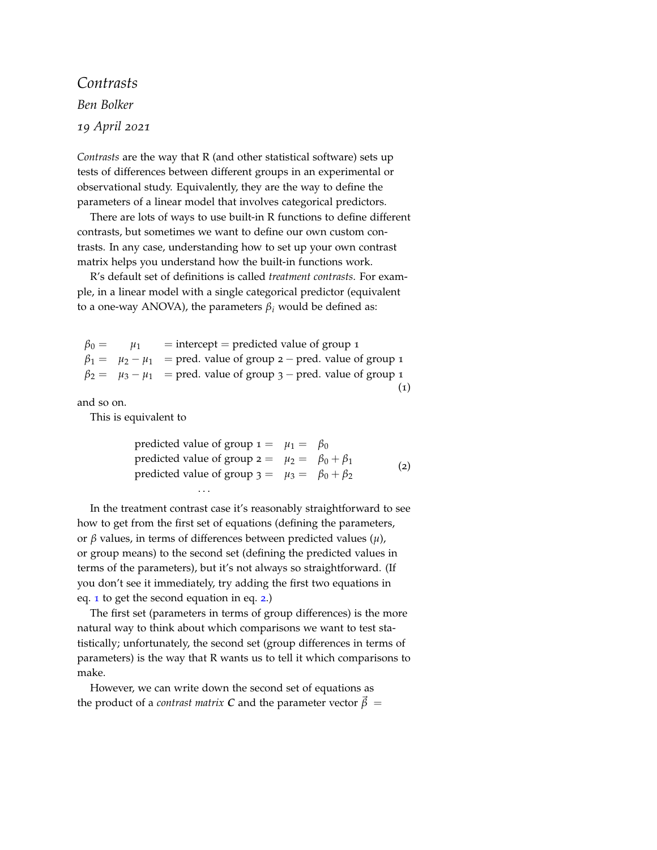*Contrasts Ben Bolker 19 April 2021*

*Contrasts* are the way that R (and other statistical software) sets up tests of differences between different groups in an experimental or observational study. Equivalently, they are the way to define the parameters of a linear model that involves categorical predictors.

There are lots of ways to use built-in R functions to define different contrasts, but sometimes we want to define our own custom contrasts. In any case, understanding how to set up your own contrast matrix helps you understand how the built-in functions work.

R's default set of definitions is called *treatment contrasts*. For example, in a linear model with a single categorical predictor (equivalent to a one-way ANOVA), the parameters  $β<sub>i</sub>$  would be defined as:

<span id="page-0-0"></span>

| $\beta_0 =$ | $\mu_1$ | $=$ intercept $=$ predicted value of group 1                                |  |
|-------------|---------|-----------------------------------------------------------------------------|--|
|             |         | $\beta_1 = \mu_2 - \mu_1$ = pred. value of group 2 – pred. value of group 1 |  |
|             |         | $\beta_2 = \mu_3 - \mu_1$ = pred. value of group 3 – pred. value of group 1 |  |
|             |         |                                                                             |  |

and so on.

<span id="page-0-1"></span>This is equivalent to

| predicted value of group $1 = \mu_1 = \beta_0$           |  |     |
|----------------------------------------------------------|--|-----|
| predicted value of group $2 = \mu_2 = \beta_0 + \beta_1$ |  | (2) |
| predicted value of group $3 = \mu_3 = \beta_0 + \beta_2$ |  |     |
| $\cdots$                                                 |  |     |

In the treatment contrast case it's reasonably straightforward to see how to get from the first set of equations (defining the parameters, or *β* values, in terms of differences between predicted values (*µ*), or group means) to the second set (defining the predicted values in terms of the parameters), but it's not always so straightforward. (If you don't see it immediately, try adding the first two equations in eq. [1](#page-0-0) to get the second equation in eq. [2](#page-0-1).)

The first set (parameters in terms of group differences) is the more natural way to think about which comparisons we want to test statistically; unfortunately, the second set (group differences in terms of parameters) is the way that R wants us to tell it which comparisons to make.

However, we can write down the second set of equations as the product of a *contrast matrix C* and the parameter vector  $\vec{\beta}$  =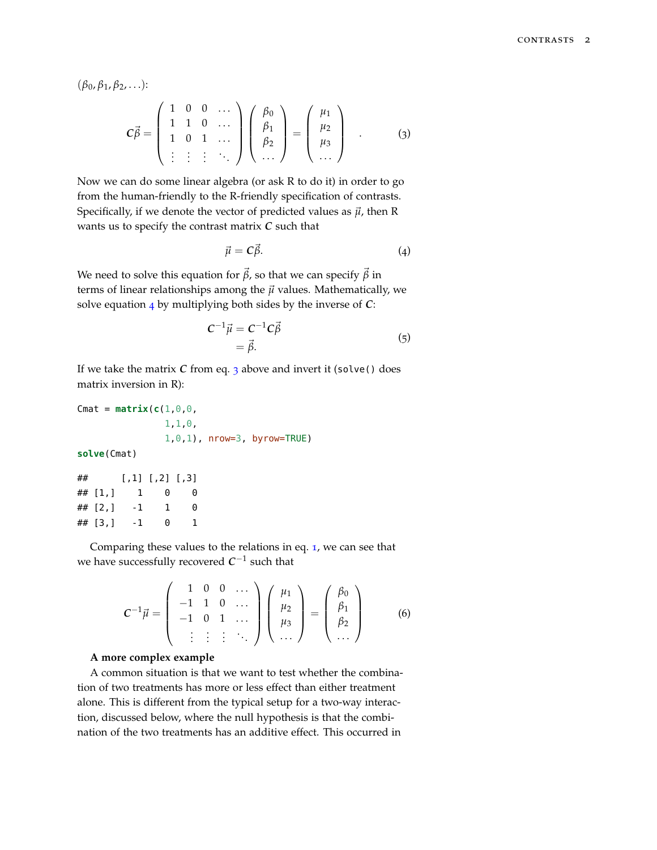(*β*0, *β*1, *β*2, . . .):

<span id="page-1-1"></span>
$$
C\vec{\beta} = \begin{pmatrix} 1 & 0 & 0 & \cdots \\ 1 & 1 & 0 & \cdots \\ 1 & 0 & 1 & \cdots \\ \vdots & \vdots & \vdots & \ddots \end{pmatrix} \begin{pmatrix} \beta_0 \\ \beta_1 \\ \beta_2 \\ \cdots \end{pmatrix} = \begin{pmatrix} \mu_1 \\ \mu_2 \\ \mu_3 \\ \cdots \end{pmatrix} . \qquad (3)
$$

Now we can do some linear algebra (or ask R to do it) in order to go from the human-friendly to the R-friendly specification of contrasts. Specifically, if we denote the vector of predicted values as  $\vec{\mu}$ , then R wants us to specify the contrast matrix *C* such that

<span id="page-1-0"></span>
$$
\vec{\mu} = C\vec{\beta}.\tag{4}
$$

We need to solve this equation for  $\vec{\beta}$ , so that we can specify  $\vec{\beta}$  in terms of linear relationships among the  $\vec{\mu}$  values. Mathematically, we solve equation [4](#page-1-0) by multiplying both sides by the inverse of *C*:

$$
C^{-1}\vec{\mu} = C^{-1}C\vec{\beta}
$$
  
=  $\vec{\beta}$ . (5)

If we take the matrix *C* from eq. [3](#page-1-1) above and invert it (solve() does matrix inversion in R):

```
Cmat = matrix(c(1, 0, 0,1,1,0,
               1,0,1), nrow=3, byrow=TRUE)
solve(Cmat)
## [,1] [,2] [,3]
```

| ## [1,] |      | 0            | A |
|---------|------|--------------|---|
| ## [2,] | $-1$ | $\mathbf{1}$ | 0 |
| ## [3,] | $-1$ | A            | 1 |

Comparing these values to the relations in eq. [1](#page-0-0), we can see that we have successfully recovered  $C^{−1}$  such that

$$
\mathbf{C}^{-1}\vec{\mu} = \begin{pmatrix} 1 & 0 & 0 & \dots \\ -1 & 1 & 0 & \dots \\ -1 & 0 & 1 & \dots \\ \vdots & \vdots & \vdots & \ddots \end{pmatrix} \begin{pmatrix} \mu_1 \\ \mu_2 \\ \mu_3 \\ \dots \end{pmatrix} = \begin{pmatrix} \beta_0 \\ \beta_1 \\ \beta_2 \\ \dots \end{pmatrix}
$$
 (6)

### **A more complex example**

A common situation is that we want to test whether the combination of two treatments has more or less effect than either treatment alone. This is different from the typical setup for a two-way interaction, discussed below, where the null hypothesis is that the combination of the two treatments has an additive effect. This occurred in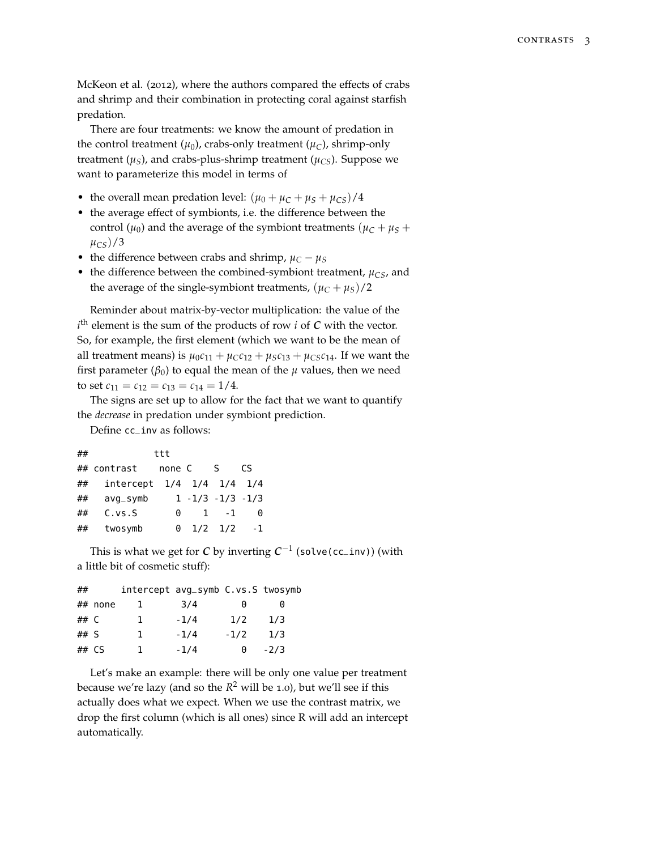McKeon et al. (2012), where the authors compared the effects of crabs and shrimp and their combination in protecting coral against starfish predation.

There are four treatments: we know the amount of predation in the control treatment  $(\mu_0)$ , crabs-only treatment  $(\mu_C)$ , shrimp-only treatment  $(\mu_S)$ , and crabs-plus-shrimp treatment  $(\mu_{CS})$ . Suppose we want to parameterize this model in terms of

- the overall mean predation level:  $(\mu_0 + \mu_C + \mu_S + \mu_{CS})/4$
- the average effect of symbionts, i.e. the difference between the control ( $\mu$ <sub>0</sub>) and the average of the symbiont treatments ( $\mu$ <sup>*C*</sup> +  $\mu$ <sup>*S*</sup> +  $\mu$ <sup>*CS*</sup> $)/3$
- the difference between crabs and shrimp,  $\mu_C \mu_S$
- the difference between the combined-symbiont treatment,  $\mu_{CS}$ , and the average of the single-symbiont treatments,  $(\mu_C + \mu_S)/2$

Reminder about matrix-by-vector multiplication: the value of the *i*<sup>th</sup> element is the sum of the products of row *i* of *C* with the vector. So, for example, the first element (which we want to be the mean of all treatment means) is  $\mu_0 c_{11} + \mu_C c_{12} + \mu_S c_{13} + \mu_{CS} c_{14}$ . If we want the first parameter ( $\beta_0$ ) to equal the mean of the  $\mu$  values, then we need to set  $c_{11} = c_{12} = c_{13} = c_{14} = 1/4$ .

The signs are set up to allow for the fact that we want to quantify the *decrease* in predation under symbiont prediction.

Define cc\_inv as follows:

| ## |                           | ttt    |                       |             |      |
|----|---------------------------|--------|-----------------------|-------------|------|
|    | ## contrast               | none C |                       | S S         | CS.  |
| ## | intercept 1/4 1/4 1/4 1/4 |        |                       |             |      |
| ## | $avq$ <sub>-symb</sub>    |        | $1 - 1/3 - 1/3 - 1/3$ |             |      |
| ## | C. vs. S                  | 0      | $\mathbf{1}$          | $-1$        | 0    |
| ## | twosymb                   | 0      |                       | $1/2$ $1/2$ | $-1$ |

This is what we get for  $C$  by inverting  $C^{-1}$  (solve(cc\_inv)) (with a little bit of cosmetic stuff):

| ##   |         | intercept avg_symb C.vs.S twosymb |        |        |        |
|------|---------|-----------------------------------|--------|--------|--------|
|      | ## none |                                   | 3/4    | A      | 0      |
| ## C |         | Т.                                | $-1/4$ | 1/2    | 1/3    |
| ## S |         | 1.                                | $-1/4$ | $-1/2$ | 1/3    |
|      | $##$ CS | ı                                 | $-1/4$ | A      | $-2/3$ |

Let's make an example: there will be only one value per treatment because we're lazy (and so the *R* <sup>2</sup> will be 1.0), but we'll see if this actually does what we expect. When we use the contrast matrix, we drop the first column (which is all ones) since R will add an intercept automatically.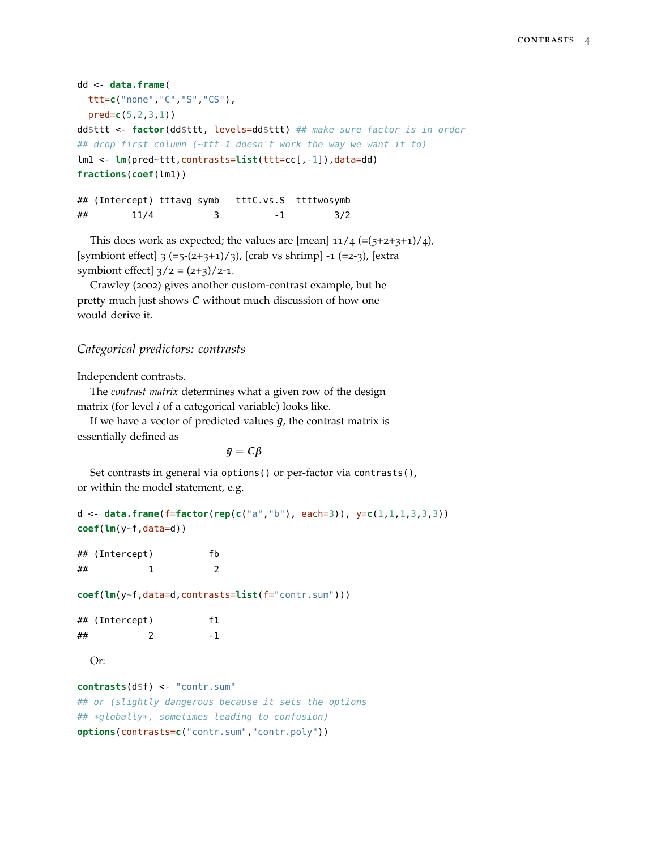```
dd <- data.frame(
 ttt=c("none","C","S","CS"),
 pred=c(5,2,3,1))
dd$ttt <- factor(dd$ttt, levels=dd$ttt) ## make sure factor is in order
## drop first column (~ttt-1 doesn't work the way we want it to)
lm1 <- lm(pred~ttt,contrasts=list(ttt=cc[,-1]),data=dd)
fractions(coef(lm1))
```
## (Intercept) tttavg\_symb tttC.vs.S ttttwosymb ## 11/4 3 -1 3/2

This does work as expected; the values are [mean]  $11/4$  (=(5+2+3+1)/4), [symbiont effect]  $3 (=5-(2+3+1)/3)$ , [crab vs shrimp] -1 (=2-3), [extra symbiont effect]  $3/2 = (2+3)/2-1$ .

Crawley (2002) gives another custom-contrast example, but he pretty much just shows *C* without much discussion of how one would derive it.

## *Categorical predictors: contrasts*

Independent contrasts.

The *contrast matrix* determines what a given row of the design matrix (for level *i* of a categorical variable) looks like.

If we have a vector of predicted values  $\bar{y}$ , the contrast matrix is essentially defined as

```
\bar{y} = C\beta
```
Set contrasts in general via options() or per-factor via contrasts(), or within the model statement, e.g.

```
d <- data.frame(f=factor(rep(c("a","b"), each=3)), y=c(1,1,1,3,3,3))
coef(lm(y~f,data=d))
```
## (Intercept) fb  $\#$   $\#$  1 2

**coef**(**lm**(y~f,data=d,contrasts=**list**(f="contr.sum")))

|    | ## (Intercept) | f1  |
|----|----------------|-----|
| ## |                | - 1 |

Or:

```
contrasts(d$f) <- "contr.sum"
## or (slightly dangerous because it sets the options
## *globally*, sometimes leading to confusion)
options(contrasts=c("contr.sum","contr.poly"))
```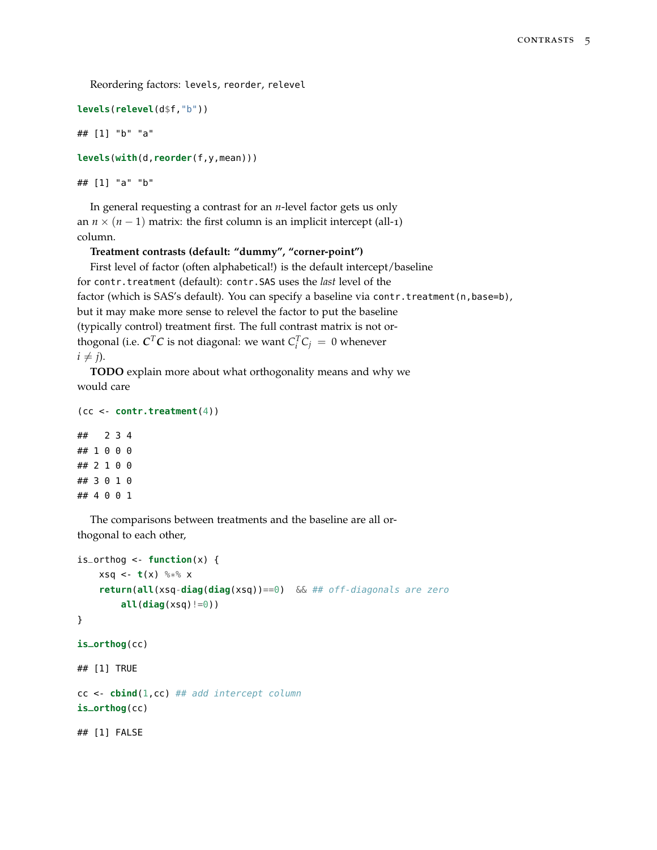Reordering factors: levels, reorder, relevel

```
levels(relevel(d$f,"b"))
```
## [1] "b" "a"

```
levels(with(d,reorder(f,y,mean)))
```

```
## [1] "a" "b"
```
In general requesting a contrast for an *n*-level factor gets us only an  $n \times (n-1)$  matrix: the first column is an implicit intercept (all-1) column.

## **Treatment contrasts (default: "dummy", "corner-point")**

First level of factor (often alphabetical!) is the default intercept/baseline for contr.treatment (default): contr.SAS uses the *last* level of the factor (which is SAS's default). You can specify a baseline via contr.treatment(n,base=b), but it may make more sense to relevel the factor to put the baseline (typically control) treatment first. The full contrast matrix is not orthogonal (i.e.  $\mathbf{C}^T \mathbf{C}$  is not diagonal: we want  $C_i^T C_j = 0$  whenever  $i \neq j$ ).

**TODO** explain more about what orthogonality means and why we would care

```
(cc <- contr.treatment(4))
## 2 3 4
## 1 0 0 0
## 2 1 0 0
## 3 0 1 0
```
## 4 0 0 1

The comparisons between treatments and the baseline are all orthogonal to each other,

```
is\_orthog < - function(x) \inxsq < -t(x) %*% x
    return(all(xsq-diag(diag(xsq))==0) && ## off-diagonals are zero
        all(diag(xsq)!=0))
}
is_orthog(cc)
## [1] TRUE
cc <- cbind(1,cc) ## add intercept column
is_orthog(cc)
## [1] FALSE
```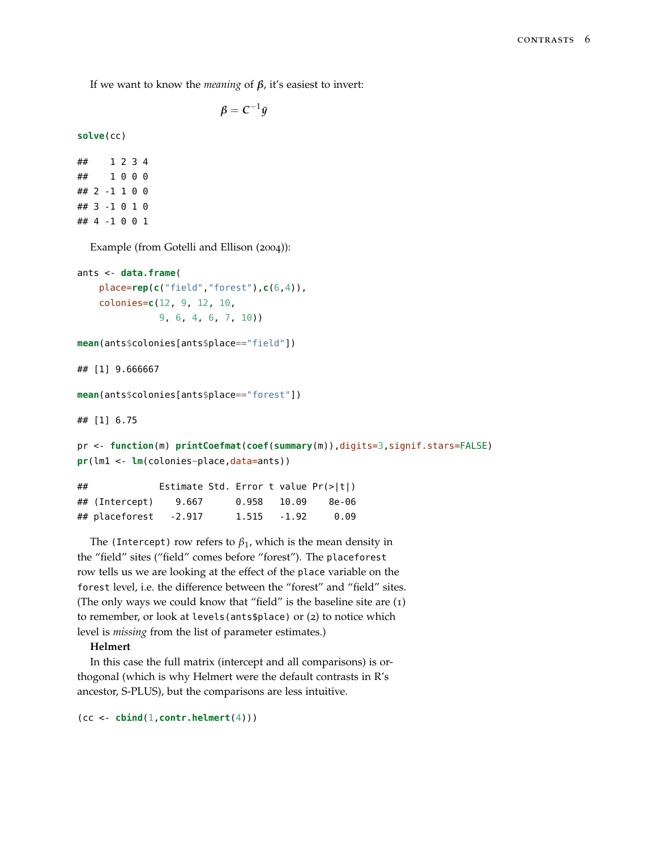If we want to know the *meaning* of *β*, it's easiest to invert:

$$
\beta = C^{-1}\bar{y}
$$

**solve**(cc)

## 1 2 3 4 ## 1 0 0 0 ## 2 -1 1 0 0 ## 3 -1 0 1 0 ## 4 -1 0 0 1

Example (from Gotelli and Ellison (2004)):

```
ants <- data.frame(
    place=rep(c("field","forest"),c(6,4)),
    colonies=c(12, 9, 12, 10,
               9, 6, 4, 6, 7, 10))
```
**mean**(ants\$colonies[ants\$place=="field"])

## [1] 9.666667

```
mean(ants$colonies[ants$place=="forest"])
```
## [1] 6.75

```
pr <- function(m) printCoefmat(coef(summary(m)),digits=3,signif.stars=FALSE)
pr(lm1 <- lm(colonies~place,data=ants))
```

| ## |                             | Estimate Std. Error t value $Pr(>\vert t \vert)$ |                |               |       |
|----|-----------------------------|--------------------------------------------------|----------------|---------------|-------|
|    | ## (Intercept)              | 9.667                                            |                | $0.958$ 10.09 | 8e-06 |
|    | $\#$ # placeforest $-2.917$ |                                                  | $1.515 - 1.92$ |               | 0.09  |

The (Intercept) row refers to  $\beta_1$ , which is the mean density in the "field" sites ("field" comes before "forest"). The placeforest row tells us we are looking at the effect of the place variable on the forest level, i.e. the difference between the "forest" and "field" sites. (The only ways we could know that "field" is the baseline site are (1) to remember, or look at levels(ants\$place) or (2) to notice which level is *missing* from the list of parameter estimates.)

## **Helmert**

In this case the full matrix (intercept and all comparisons) is orthogonal (which is why Helmert were the default contrasts in R's ancestor, S-PLUS), but the comparisons are less intuitive.

(cc <- **cbind**(1,**contr.helmert**(4)))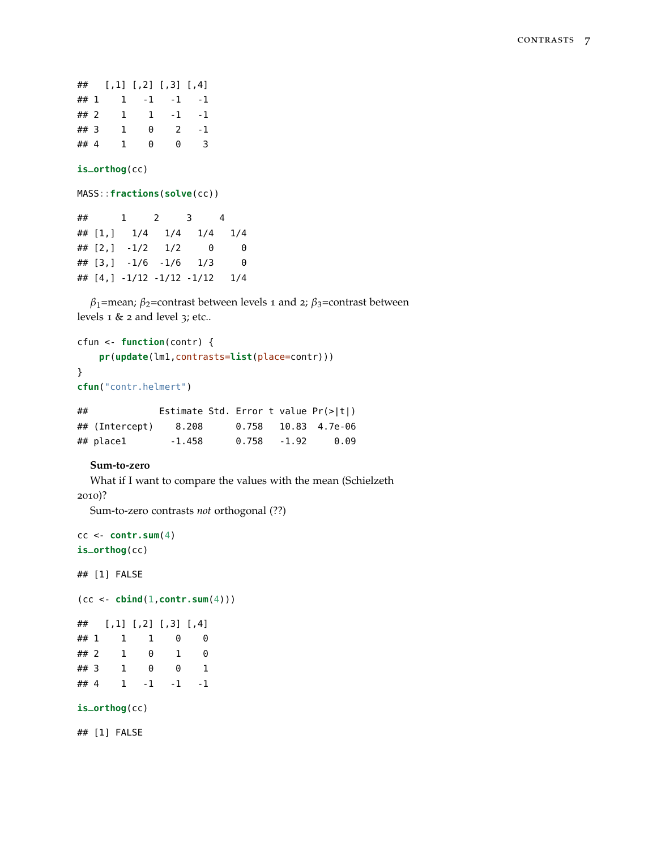## [,1] [,2] [,3] [,4] ## 1 1 -1 -1 -1 ## 2 1 1 -1 -1 ## 3 1 0 2 -1 ## 4 1 0 0 3

#### **is\_orthog**(cc)

MASS::**fractions**(**solve**(cc))

## 1 2 3 4 ## [1,] 1/4 1/4 1/4 1/4 ## [2,] -1/2 1/2 0 0 ## [3,] -1/6 -1/6 1/3 0 ## [4,] -1/12 -1/12 -1/12 1/4

*β*1=mean; *β*2=contrast between levels 1 and 2; *β*3=contrast between levels 1 & 2 and level 3; etc..

```
cfun <- function(contr) {
    pr(update(lm1,contrasts=list(place=contr)))
}
cfun("contr.helmert")
```

| ## |                | Estimate Std. Error t value $Pr(>\vert t \vert)$ |       |         |                       |
|----|----------------|--------------------------------------------------|-------|---------|-----------------------|
|    | ## (Intercept) | 8.208                                            |       |         | $0.758$ 10.83 4.7e-06 |
|    | ## place1      | -1.458                                           | 0.758 | $-1.92$ | 0.09                  |

# **Sum-to-zero**

What if I want to compare the values with the mean (Schielzeth 2010)?

Sum-to-zero contrasts *not* orthogonal (??)

```
cc <- contr.sum(4)
is_orthog(cc)
```
## [1] FALSE

(cc <- **cbind**(1,**contr.sum**(4)))

```
## [,1] [,2] [,3] [,4]
## 1 1 1 0 0
## 2 1 0 1 0
## 3 1 0 0 1
## 4 1 -1 -1 -1
is_orthog(cc)
```
## [1] FALSE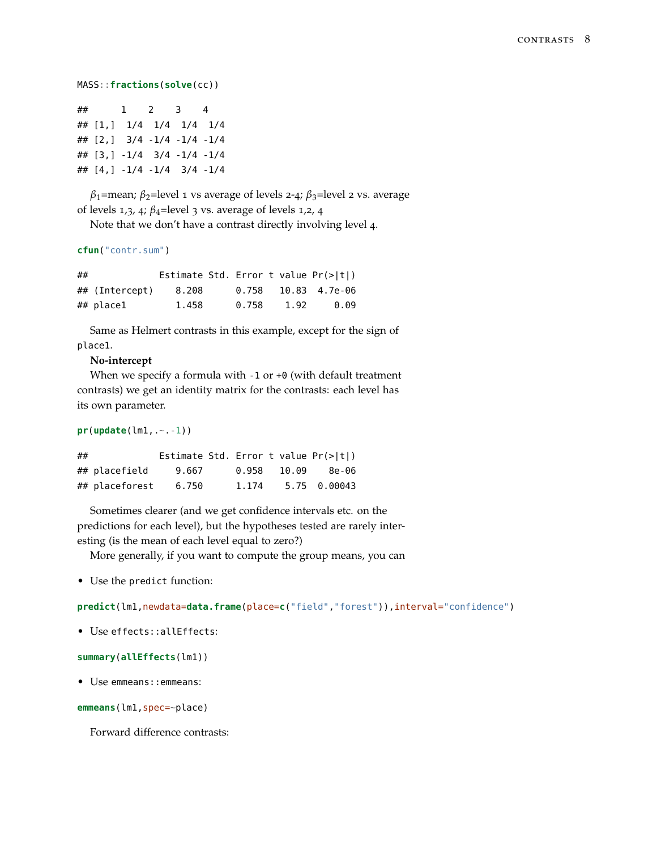```
MASS::fractions(solve(cc))
```

|  | $\#$ 1 2 3 4                |  |
|--|-----------------------------|--|
|  | ## [1,] 1/4 1/4 1/4 1/4     |  |
|  | ## [2, ] 3/4 -1/4 -1/4 -1/4 |  |
|  | ## [3,] -1/4 3/4 -1/4 -1/4  |  |
|  | ## [4,] -1/4 -1/4 3/4 -1/4  |  |

*β*1=mean; *β*2=level 1 vs average of levels 2-4; *β*3=level 2 vs. average of levels 1,3, 4; *β*4=level 3 vs. average of levels 1,2, 4

Note that we don't have a contrast directly involving level 4.

```
cfun("contr.sum")
```

| ## |                |       |       |      | Estimate Std. Error t value $Pr(>\vert t \vert)$ |
|----|----------------|-------|-------|------|--------------------------------------------------|
|    | ## (Intercept) | 8.208 | 0.758 |      | 10.83 4.7e-06                                    |
|    | ## place1      | 1.458 | 0.758 | 1.92 | 0.09                                             |

Same as Helmert contrasts in this example, except for the sign of place1.

## **No-intercept**

When we specify a formula with -1 or +0 (with default treatment contrasts) we get an identity matrix for the contrasts: each level has its own parameter.

**pr**(**update**(lm1,.~.-1))

| ## |                |       |       |       | Estimate Std. Error t value $Pr(>\vert t \vert)$ |
|----|----------------|-------|-------|-------|--------------------------------------------------|
|    | ## placefield  | 9.667 | 0.958 | 10.09 | 8e-06                                            |
|    | ## placeforest | 6.750 | 1.174 |       | 5.75 0.00043                                     |

Sometimes clearer (and we get confidence intervals etc. on the predictions for each level), but the hypotheses tested are rarely interesting (is the mean of each level equal to zero?)

More generally, if you want to compute the group means, you can

• Use the predict function:

**predict**(lm1,newdata=**data.frame**(place=**c**("field","forest")),interval="confidence")

• Use effects::allEffects:

```
summary(allEffects(lm1))
```
• Use emmeans::emmeans:

**emmeans**(lm1,spec=~place)

Forward difference contrasts: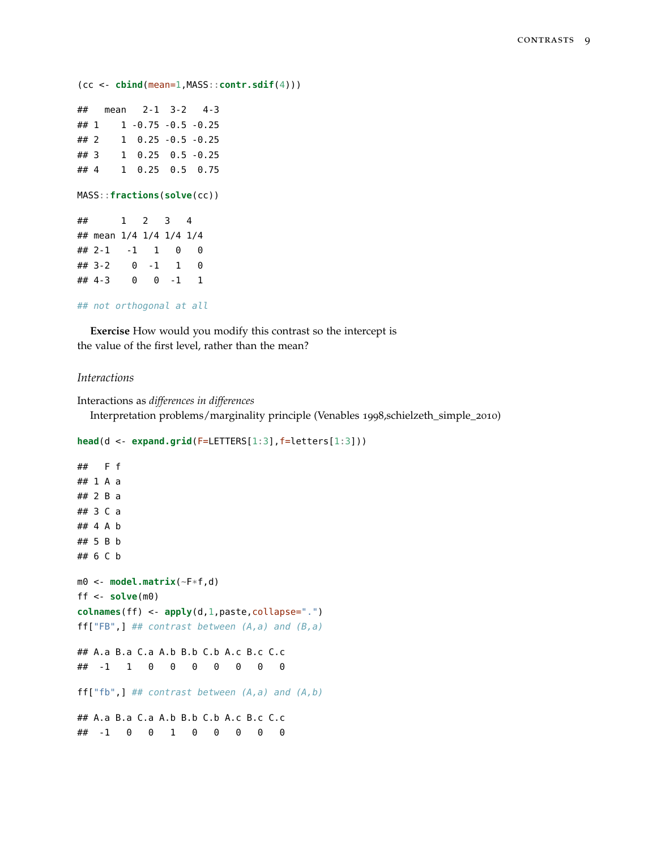```
(cc <- cbind(mean=1,MASS::contr.sdif(4)))
## mean 2-1 3-2 4-3
## 1 1 -0.75 -0.5 -0.25
## 2 1 0.25 -0.5 -0.25
## 3 1 0.25 0.5 -0.25
## 4 1 0.25 0.5 0.75
MASS::fractions(solve(cc))
## 1 2 3 4
## mean 1/4 1/4 1/4 1/4
\# # 2-1 -1 1 0 0
## 3-2 0 -1 1 0
## 4-3 0 0 -1 1
## not orthogonal at all
```
**Exercise** How would you modify this contrast so the intercept is the value of the first level, rather than the mean?

# *Interactions*

```
Interactions as differences in differences
  Interpretation problems/marginality principle (Venables 1998,schielzeth_simple_2010)
```

```
head(d <- expand.grid(F=LETTERS[1:3],f=letters[1:3]))
```

```
## F f
## 1 A a
## 2 B a
## 3 C a
## 4 A b
## 5 B b
## 6 C b
m0 <- model.matrix(~F*f,d)
ff <- solve(m0)
colnames(ff) <- apply(d,1,paste,collapse=".")
ff["FB",] ## contrast between (A,a) and (B,a)
## A.a B.a C.a A.b B.b C.b A.c B.c C.c
## -1 1 0 0 0 0 0 0 0
ff['fb",] # import cost between (A,a) and (A,b)## A.a B.a C.a A.b B.b C.b A.c B.c C.c
## -1 0 0 1 0 0 0 0 0
```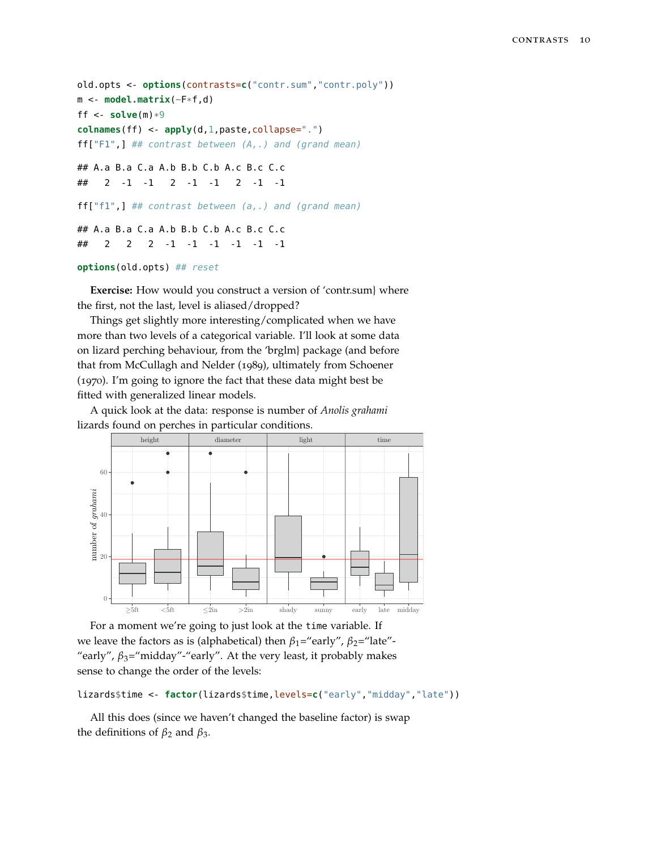```
old.opts <- options(contrasts=c("contr.sum","contr.poly"))
m <- model.matrix(~F*f,d)
ff \leq- solve(m)*9colnames(ff) <- apply(d,1,paste,collapse=".")
ff["F1",] ## contrast between (A,.) and (grand mean)
## A.a B.a C.a A.b B.b C.b A.c B.c C.c
## 2 -1 -1 2 -1 -1 2 -1 -1
ff["f1",] ## contrast between (a,.) and (grand mean)
## A.a B.a C.a A.b B.b C.b A.c B.c C.c
## 2 2 2 -1 -1 -1 -1 -1 -1
```
### **options**(old.opts) ## reset

**Exercise:** How would you construct a version of 'contr.sum} where the first, not the last, level is aliased/dropped?

Things get slightly more interesting/complicated when we have more than two levels of a categorical variable. I'll look at some data on lizard perching behaviour, from the 'brglm} package (and before that from McCullagh and Nelder (1989), ultimately from Schoener (1970). I'm going to ignore the fact that these data might best be fitted with generalized linear models.

A quick look at the data: response is number of *Anolis grahami* lizards found on perches in particular conditions.



For a moment we're going to just look at the time variable. If we leave the factors as is (alphabetical) then  $β_1$ ="early",  $β_2$ ="late"-"early",  $\beta_3$ ="midday"-"early". At the very least, it probably makes sense to change the order of the levels:

```
lizards$time <- factor(lizards$time,levels=c("early","midday","late"))
```
All this does (since we haven't changed the baseline factor) is swap the definitions of  $\beta_2$  and  $\beta_3$ .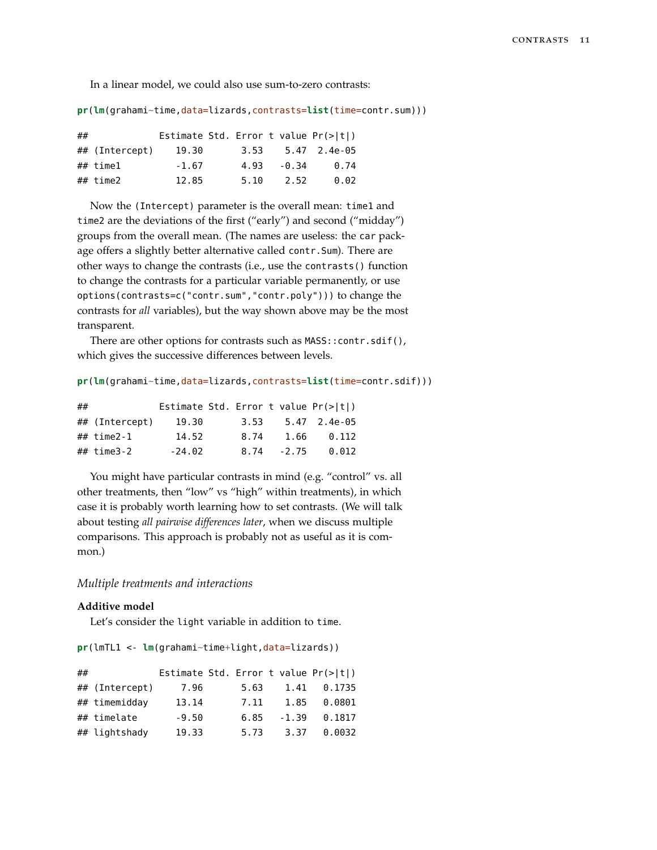In a linear model, we could also use sum-to-zero contrasts:

**pr**(**lm**(grahami~time,data=lizards,contrasts=**list**(time=contr.sum)))

| ## |                |         |      |       | Estimate Std. Error t value $Pr(>\vert t \vert)$ |
|----|----------------|---------|------|-------|--------------------------------------------------|
|    | ## (Intercept) | 19.30   | 3.53 |       | 5.47 2.4e-05                                     |
|    | ## time1       | $-1.67$ | 4.93 | -0.34 | 0.74                                             |
|    | ## time2       | 12.85   | 5.10 | 2.52  | 0.02                                             |

Now the (Intercept) parameter is the overall mean: time1 and time2 are the deviations of the first ("early") and second ("midday") groups from the overall mean. (The names are useless: the car package offers a slightly better alternative called contr.Sum). There are other ways to change the contrasts (i.e., use the contrasts() function to change the contrasts for a particular variable permanently, or use options(contrasts=c("contr.sum","contr.poly"))) to change the contrasts for *all* variables), but the way shown above may be the most transparent.

There are other options for contrasts such as MASS:: contr.sdif(), which gives the successive differences between levels.

```
pr(lm(grahami~time,data=lizards,contrasts=list(time=contr.sdif)))
```

| ## |                 |          |      |         | Estimate Std. Error t value $Pr(>\vert t \vert)$ |
|----|-----------------|----------|------|---------|--------------------------------------------------|
|    | ## (Intercept)  | 19.30    | 3.53 |         | 5.47 2.4e-05                                     |
|    | $\# \#$ time2-1 | 14.52    | 8.74 | 1.66    | 0.112                                            |
|    | ## time3-2      | $-24.02$ | 8.74 | $-2.75$ | 0.012                                            |

You might have particular contrasts in mind (e.g. "control" vs. all other treatments, then "low" vs "high" within treatments), in which case it is probably worth learning how to set contrasts. (We will talk about testing *all pairwise differences later*, when we discuss multiple comparisons. This approach is probably not as useful as it is common.)

## *Multiple treatments and interactions*

#### **Additive model**

Let's consider the light variable in addition to time.

**pr**(lmTL1 <- **lm**(grahami~time+light,data=lizards))

| ## |                |         |      |         | Estimate Std. Error t value $Pr(>\vert t \vert)$ |
|----|----------------|---------|------|---------|--------------------------------------------------|
|    | ## (Intercept) | 7.96    | 5.63 | 1.41    | 0.1735                                           |
|    | ## timemidday  | 13.14   | 7.11 | 1.85    | 0.0801                                           |
|    | ## timelate    | $-9.50$ | 6.85 | $-1.39$ | 0.1817                                           |
|    | ## lightshady  | 19.33   | 5.73 | 3.37    | 0.0032                                           |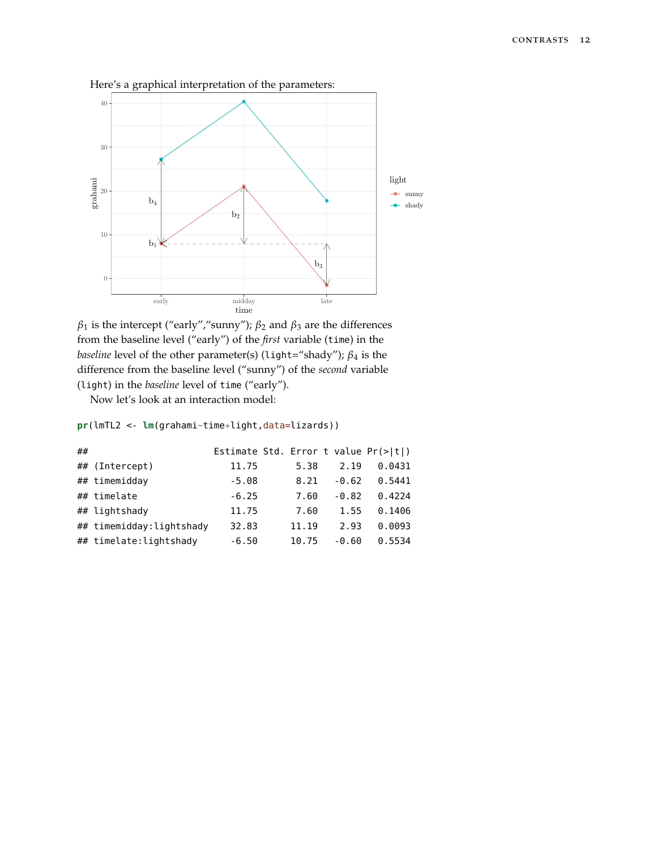

Here's a graphical interpretation of the parameters:



Now let's look at an interaction model:

**pr**(lmTL2 <- **lm**(grahami~time\*light,data=lizards))

| ## |                          | Estimate Std. Error t value $Pr(>\vert t \vert)$ |       |         |        |
|----|--------------------------|--------------------------------------------------|-------|---------|--------|
|    | ## (Intercept)           | 11.75                                            | 5.38  | 2.19    | 0.0431 |
|    | ## timemidday            | $-5.08$                                          | 8.21  | $-0.62$ | 0.5441 |
|    | ## timelate              | $-6.25$                                          | 7.60  | $-0.82$ | 0.4224 |
|    | ## lightshady            | 11.75                                            | 7.60  | 1.55    | 0.1406 |
|    | ## timemidday:lightshady | 32.83                                            | 11.19 | 2.93    | 0.0093 |
|    | ## timelate: lightshady  | $-6.50$                                          | 10.75 | $-0.60$ | 0.5534 |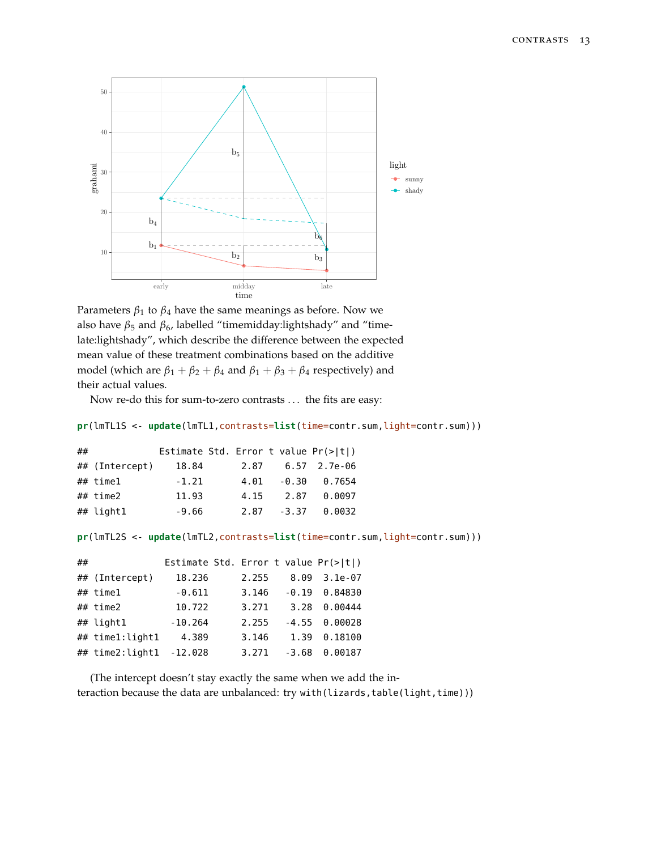

```
Parameters \beta_1 to \beta_4 have the same meanings as before. Now we
also have β_5 and β_6, labelled "timemidday:lightshady" and "time-
late:lightshady", which describe the difference between the expected
mean value of these treatment combinations based on the additive
model (which are \beta_1 + \beta_2 + \beta_4 and \beta_1 + \beta_3 + \beta_4 respectively) and
their actual values.
```
Now re-do this for sum-to-zero contrasts . . . the fits are easy:

```
pr(lmTL1S <- update(lmTL1,contrasts=list(time=contr.sum,light=contr.sum)))
```

| ## |                | Estimate Std. Error t value $Pr(>\vert t \vert)$ |      |      |              |
|----|----------------|--------------------------------------------------|------|------|--------------|
|    | ## (Intercept) | 18.84                                            | 2.87 |      | 6.57 2.7e-06 |
|    | $\#$ # timel   | $-1.21$                                          | 4.01 |      | -0.30 0.7654 |
|    | ## time2       | 11.93                                            | 4.15 | 2.87 | 0.0097       |
|    | ## light1      | $-9.66$                                          | 2.87 |      | -3.37 0.0032 |

**pr**(lmTL2S <- **update**(lmTL2,contrasts=**list**(time=contr.sum,light=contr.sum)))

| ## |                 | Estimate Std. Error t value Pr(> t ) |       |         |           |
|----|-----------------|--------------------------------------|-------|---------|-----------|
|    | ## (Intercept)  | 18.236                               | 2.255 | 8.09    | $3.1e-07$ |
|    | $\#$ # timel    | $-0.611$                             | 3.146 | $-0.19$ | 0.84830   |
|    | ## time2        | 10.722                               | 3.271 | 3.28    | 0.00444   |
|    | ## light1       | $-10.264$                            | 2.255 | $-4.55$ | 0.00028   |
|    | ## time1:light1 | 4.389                                | 3.146 | 1.39    | 0.18100   |
|    | ## time2:light1 | $-12.028$                            | 3.271 | $-3.68$ | 0.00187   |

(The intercept doesn't stay exactly the same when we add the interaction because the data are unbalanced: try with(lizards,table(light,time)))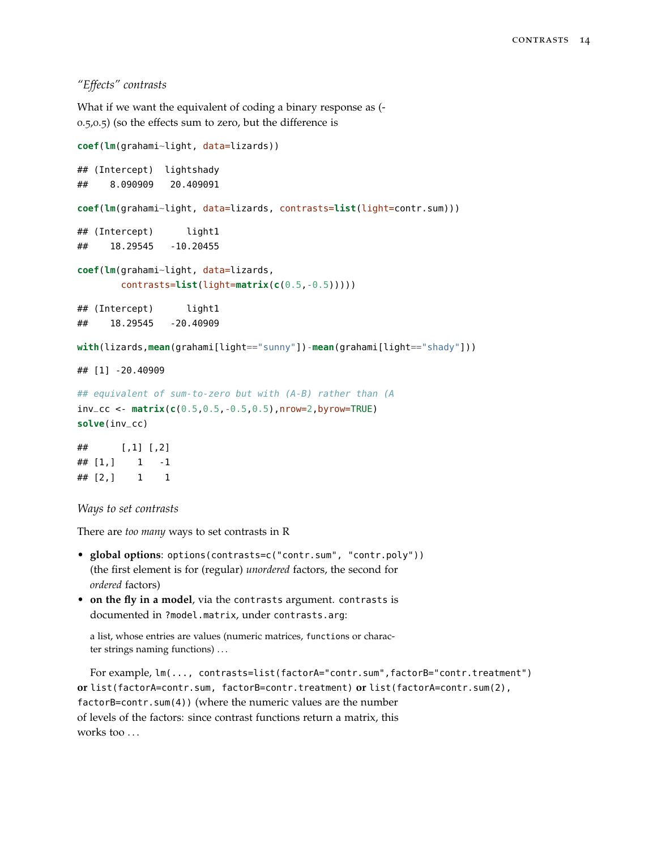*"Effects" contrasts*

What if we want the equivalent of coding a binary response as (- 0.5,0.5) (so the effects sum to zero, but the difference is

```
coef(lm(grahami~light, data=lizards))
## (Intercept) lightshady
## 8.090909 20.409091
coef(lm(grahami~light, data=lizards, contrasts=list(light=contr.sum)))
## (Intercept) light1
## 18.29545 -10.20455
coef(lm(grahami~light, data=lizards,
       contrasts=list(light=matrix(c(0.5,-0.5)))))
## (Intercept) light1
## 18.29545 -20.40909
with(lizards,mean(grahami[light=="sunny"])-mean(grahami[light=="shady"]))
## [1] -20.40909
## equivalent of sum-to-zero but with (A-B) rather than (A
inv_cc <- matrix(c(0.5,0.5,-0.5,0.5),nrow=2,byrow=TRUE)
solve(inv_cc)
## [,1] [,2]
\# \# [1,] 1 -1## [2,] 1 1
```
*Ways to set contrasts*

There are *too many* ways to set contrasts in R

- **global options**: options(contrasts=c("contr.sum", "contr.poly")) (the first element is for (regular) *unordered* factors, the second for *ordered* factors)
- **on the fly in a model**, via the contrasts argument. contrasts is documented in ?model.matrix, under contrasts.arg:

a list, whose entries are values (numeric matrices, functions or character strings naming functions) . . .

For example, lm(..., contrasts=list(factorA="contr.sum",factorB="contr.treatment") **or** list(factorA=contr.sum, factorB=contr.treatment) **or** list(factorA=contr.sum(2), factorB=contr.sum(4)) (where the numeric values are the number of levels of the factors: since contrast functions return a matrix, this works too ...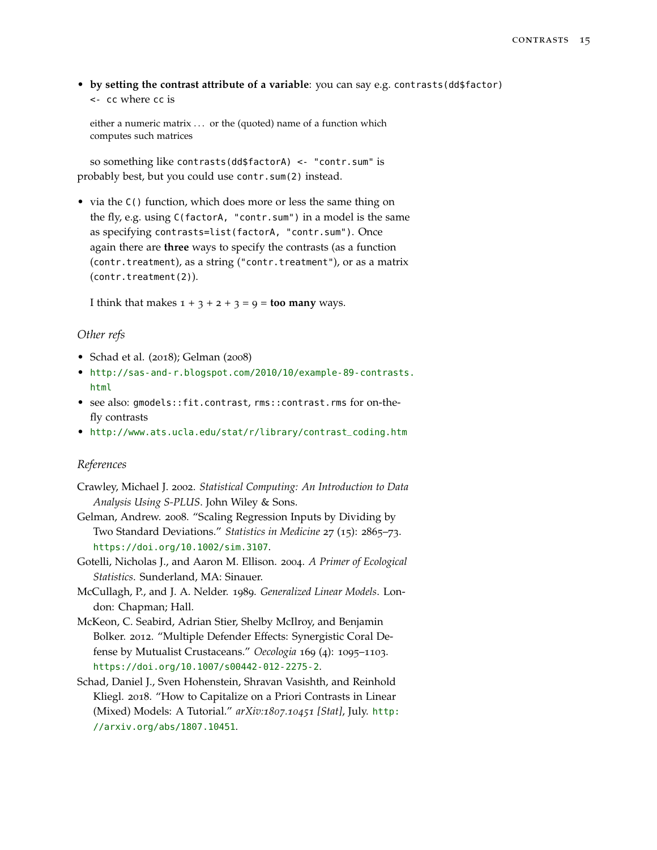• by setting the contrast attribute of a variable: you can say e.g. contrasts(dd\$factor) <- cc where cc is

either a numeric matrix ... or the (quoted) name of a function which computes such matrices

so something like contrasts(dd\$factorA) <- "contr.sum" is probably best, but you could use contr.sum(2) instead.

• via the C() function, which does more or less the same thing on the fly, e.g. using C(factorA, "contr.sum") in a model is the same as specifying contrasts=list(factorA, "contr.sum"). Once again there are **three** ways to specify the contrasts (as a function (contr.treatment), as a string ("contr.treatment"), or as a matrix (contr.treatment(2)).

I think that makes  $1 + 3 + 2 + 3 = 9 =$  **too many** ways.

## *Other refs*

- Schad et al. (2018); Gelman (2008)
- [http://sas-and-r.blogspot.com/2010/10/example-89-contrasts.](http://sas-and-r.blogspot.com/2010/10/example-89-contrasts.html) [html](http://sas-and-r.blogspot.com/2010/10/example-89-contrasts.html)
- see also: gmodels::fit.contrast, rms::contrast.rms for on-thefly contrasts
- [http://www.ats.ucla.edu/stat/r/library/contrast\\_coding.htm](http://www.ats.ucla.edu/stat/r/library/contrast_coding.htm)

### *References*

- Crawley, Michael J. 2002. *Statistical Computing: An Introduction to Data Analysis Using S-PLUS*. John Wiley & Sons.
- Gelman, Andrew. 2008. "Scaling Regression Inputs by Dividing by Two Standard Deviations." *Statistics in Medicine* 27 (15): 2865–73. <https://doi.org/10.1002/sim.3107>.
- Gotelli, Nicholas J., and Aaron M. Ellison. 2004. *A Primer of Ecological Statistics*. Sunderland, MA: Sinauer.
- McCullagh, P., and J. A. Nelder. 1989. *Generalized Linear Models*. London: Chapman; Hall.
- McKeon, C. Seabird, Adrian Stier, Shelby McIlroy, and Benjamin Bolker. 2012. "Multiple Defender Effects: Synergistic Coral Defense by Mutualist Crustaceans." *Oecologia* 169 (4): 1095–1103. <https://doi.org/10.1007/s00442-012-2275-2>.
- Schad, Daniel J., Sven Hohenstein, Shravan Vasishth, and Reinhold Kliegl. 2018. "How to Capitalize on a Priori Contrasts in Linear (Mixed) Models: A Tutorial." *arXiv:1807.10451 [Stat]*, July. [http:](http://arxiv.org/abs/1807.10451) [//arxiv.org/abs/1807.10451](http://arxiv.org/abs/1807.10451).